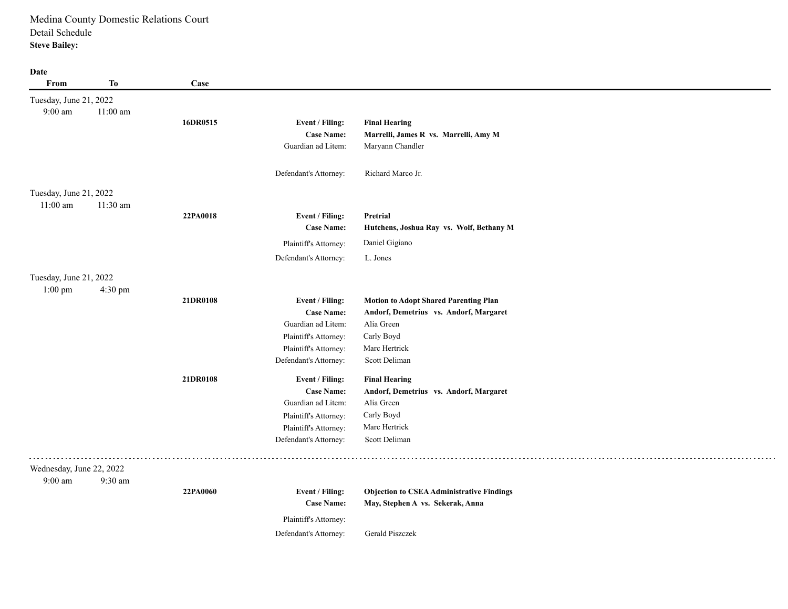#### **Date**

| From                     | <b>To</b>  | Case     |                       |                                                  |
|--------------------------|------------|----------|-----------------------|--------------------------------------------------|
| Tuesday, June 21, 2022   |            |          |                       |                                                  |
| $9:00~\mathrm{am}$       | $11:00$ am |          |                       |                                                  |
|                          |            | 16DR0515 | Event / Filing:       | <b>Final Hearing</b>                             |
|                          |            |          | <b>Case Name:</b>     | Marrelli, James R vs. Marrelli, Amy M            |
|                          |            |          | Guardian ad Litem:    | Maryann Chandler                                 |
|                          |            |          | Defendant's Attorney: | Richard Marco Jr.                                |
| Tuesday, June 21, 2022   |            |          |                       |                                                  |
| $11:00$ am               | 11:30 am   |          |                       |                                                  |
|                          |            | 22PA0018 | Event / Filing:       | Pretrial                                         |
|                          |            |          | <b>Case Name:</b>     | Hutchens, Joshua Ray vs. Wolf, Bethany M         |
|                          |            |          | Plaintiff's Attorney: | Daniel Gigiano                                   |
|                          |            |          | Defendant's Attorney: | L. Jones                                         |
| Tuesday, June 21, 2022   |            |          |                       |                                                  |
| $1:00$ pm                | 4:30 pm    |          |                       |                                                  |
|                          |            | 21DR0108 | Event / Filing:       | <b>Motion to Adopt Shared Parenting Plan</b>     |
|                          |            |          | <b>Case Name:</b>     | Andorf, Demetrius vs. Andorf, Margaret           |
|                          |            |          | Guardian ad Litem:    | Alia Green                                       |
|                          |            |          | Plaintiff's Attorney: | Carly Boyd                                       |
|                          |            |          | Plaintiff's Attorney: | Marc Hertrick                                    |
|                          |            |          | Defendant's Attorney: | Scott Deliman                                    |
|                          |            | 21DR0108 | Event / Filing:       | <b>Final Hearing</b>                             |
|                          |            |          | <b>Case Name:</b>     | Andorf, Demetrius vs. Andorf, Margaret           |
|                          |            |          | Guardian ad Litem:    | Alia Green                                       |
|                          |            |          | Plaintiff's Attorney: | Carly Boyd                                       |
|                          |            |          | Plaintiff's Attorney: | Marc Hertrick                                    |
|                          |            |          | Defendant's Attorney: | Scott Deliman                                    |
| Wednesday, June 22, 2022 |            |          |                       |                                                  |
| 9:00 am                  | 9:30 am    |          |                       |                                                  |
|                          |            | 22PA0060 | Event / Filing:       | <b>Objection to CSEA Administrative Findings</b> |
|                          |            |          | <b>Case Name:</b>     | May, Stephen A vs. Sekerak, Anna                 |
|                          |            |          | Plaintiff's Attorney: |                                                  |
|                          |            |          | Defendant's Attorney: | Gerald Piszczek                                  |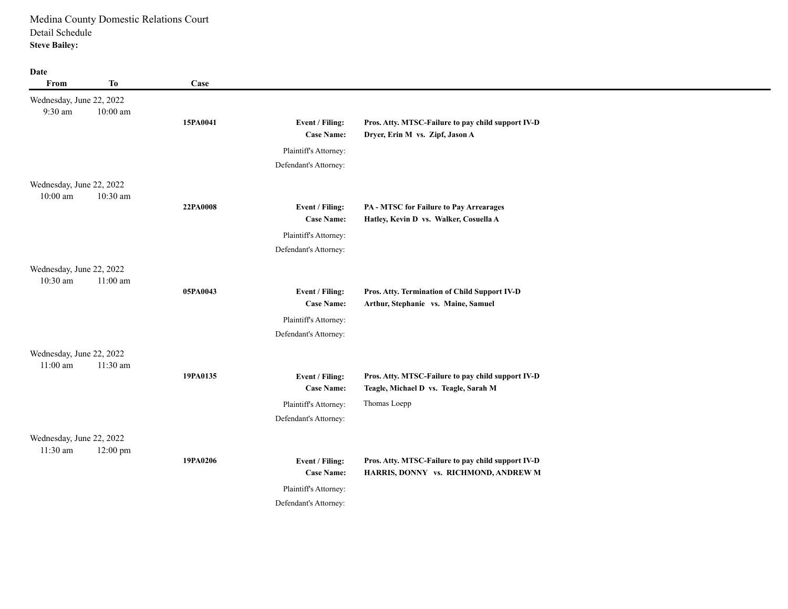**Date**

| Date                                 |            |          |                                      |                                                                                      |
|--------------------------------------|------------|----------|--------------------------------------|--------------------------------------------------------------------------------------|
| From                                 | <b>To</b>  | Case     |                                      |                                                                                      |
| Wednesday, June 22, 2022             |            |          |                                      |                                                                                      |
| 9:30 am                              | $10:00$ am |          |                                      |                                                                                      |
|                                      |            | 15PA0041 | Event / Filing:                      | Pros. Atty. MTSC-Failure to pay child support IV-D                                   |
|                                      |            |          | <b>Case Name:</b>                    | Dryer, Erin M vs. Zipf, Jason A                                                      |
|                                      |            |          | Plaintiff's Attorney:                |                                                                                      |
|                                      |            |          | Defendant's Attorney:                |                                                                                      |
| Wednesday, June 22, 2022             |            |          |                                      |                                                                                      |
| $10:00$ am                           | $10:30$ am |          |                                      |                                                                                      |
|                                      |            | 22PA0008 | Event / Filing:                      | PA - MTSC for Failure to Pay Arrearages                                              |
|                                      |            |          | <b>Case Name:</b>                    | Hatley, Kevin D vs. Walker, Cosuella A                                               |
|                                      |            |          | Plaintiff's Attorney:                |                                                                                      |
|                                      |            |          | Defendant's Attorney:                |                                                                                      |
| Wednesday, June 22, 2022             |            |          |                                      |                                                                                      |
| 10:30 am                             | $11:00$ am |          |                                      |                                                                                      |
|                                      |            | 05PA0043 | Event / Filing:<br><b>Case Name:</b> | Pros. Atty. Termination of Child Support IV-D<br>Arthur, Stephanie vs. Maine, Samuel |
|                                      |            |          |                                      |                                                                                      |
|                                      |            |          | Plaintiff's Attorney:                |                                                                                      |
|                                      |            |          | Defendant's Attorney:                |                                                                                      |
| Wednesday, June 22, 2022             |            |          |                                      |                                                                                      |
| $11:00$ am                           | 11:30 am   | 19PA0135 | Event / Filing:                      | Pros. Atty. MTSC-Failure to pay child support IV-D                                   |
|                                      |            |          | <b>Case Name:</b>                    | Teagle, Michael D vs. Teagle, Sarah M                                                |
|                                      |            |          | Plaintiff's Attorney:                | Thomas Loepp                                                                         |
|                                      |            |          | Defendant's Attorney:                |                                                                                      |
|                                      |            |          |                                      |                                                                                      |
| Wednesday, June 22, 2022<br>11:30 am |            |          |                                      |                                                                                      |
|                                      | 12:00 pm   | 19PA0206 | Event / Filing:                      | Pros. Atty. MTSC-Failure to pay child support IV-D                                   |
|                                      |            |          | <b>Case Name:</b>                    | HARRIS, DONNY vs. RICHMOND, ANDREW M                                                 |
|                                      |            |          | Plaintiff's Attorney:                |                                                                                      |
|                                      |            |          | Defendant's Attorney:                |                                                                                      |
|                                      |            |          |                                      |                                                                                      |

 $\overline{\phantom{0}}$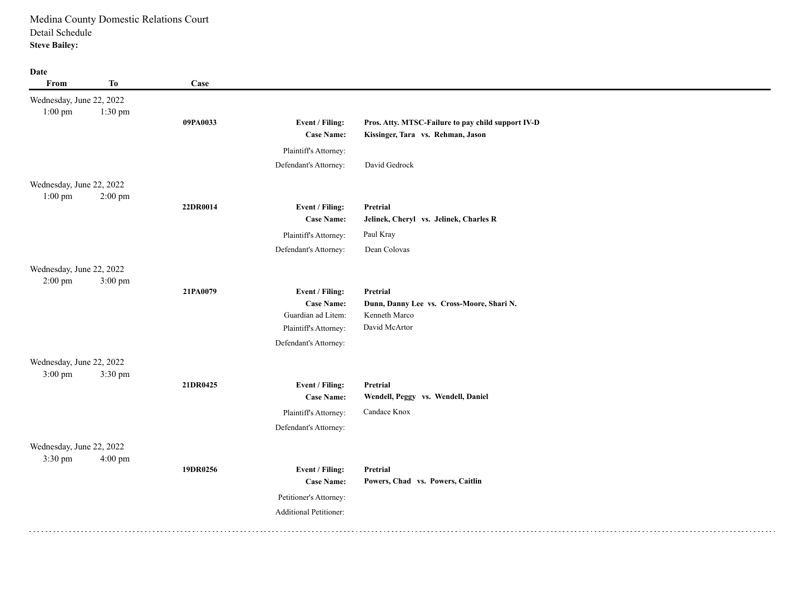**Date**

| <b>Date</b><br>From                   | <b>To</b> | Case     |                                                                                     |                                                                                         |
|---------------------------------------|-----------|----------|-------------------------------------------------------------------------------------|-----------------------------------------------------------------------------------------|
| Wednesday, June 22, 2022<br>$1:00$ pm | 1:30 pm   | 09PA0033 | Event / Filing:<br><b>Case Name:</b>                                                | Pros. Atty. MTSC-Failure to pay child support IV-D<br>Kissinger, Tara vs. Rehman, Jason |
|                                       |           |          | Plaintiff's Attorney:                                                               |                                                                                         |
|                                       |           |          | Defendant's Attorney:                                                               | David Gedrock                                                                           |
| Wednesday, June 22, 2022<br>$1:00$ pm | $2:00$ pm |          |                                                                                     |                                                                                         |
|                                       |           | 22DR0014 | Event / Filing:                                                                     | Pretrial                                                                                |
|                                       |           |          | <b>Case Name:</b>                                                                   | Jelinek, Cheryl vs. Jelinek, Charles R                                                  |
|                                       |           |          | Plaintiff's Attorney:                                                               | Paul Kray                                                                               |
|                                       |           |          | Defendant's Attorney:                                                               | Dean Colovas                                                                            |
| Wednesday, June 22, 2022<br>$2:00$ pm | 3:00 pm   |          |                                                                                     |                                                                                         |
|                                       |           | 21PA0079 | Event / Filing:<br><b>Case Name:</b><br>Guardian ad Litem:<br>Plaintiff's Attorney: | Pretrial<br>Dunn, Danny Lee vs. Cross-Moore, Shari N.<br>Kenneth Marco<br>David McArtor |
|                                       |           |          | Defendant's Attorney:                                                               |                                                                                         |
| Wednesday, June 22, 2022<br>$3:00$ pm | 3:30 pm   |          |                                                                                     |                                                                                         |
|                                       |           | 21DR0425 | Event / Filing:                                                                     | Pretrial                                                                                |
|                                       |           |          | <b>Case Name:</b>                                                                   | Wendell, Peggy vs. Wendell, Daniel                                                      |
|                                       |           |          | Plaintiff's Attorney:                                                               | Candace Knox                                                                            |
|                                       |           |          | Defendant's Attorney:                                                               |                                                                                         |
| Wednesday, June 22, 2022<br>3:30 pm   | 4:00 pm   |          |                                                                                     |                                                                                         |
|                                       |           | 19DR0256 | Event / Filing:                                                                     | Pretrial                                                                                |
|                                       |           |          | <b>Case Name:</b>                                                                   | Powers, Chad vs. Powers, Caitlin                                                        |
|                                       |           |          | Petitioner's Attorney:                                                              |                                                                                         |
|                                       |           |          | Additional Petitioner:                                                              |                                                                                         |
|                                       |           |          |                                                                                     |                                                                                         |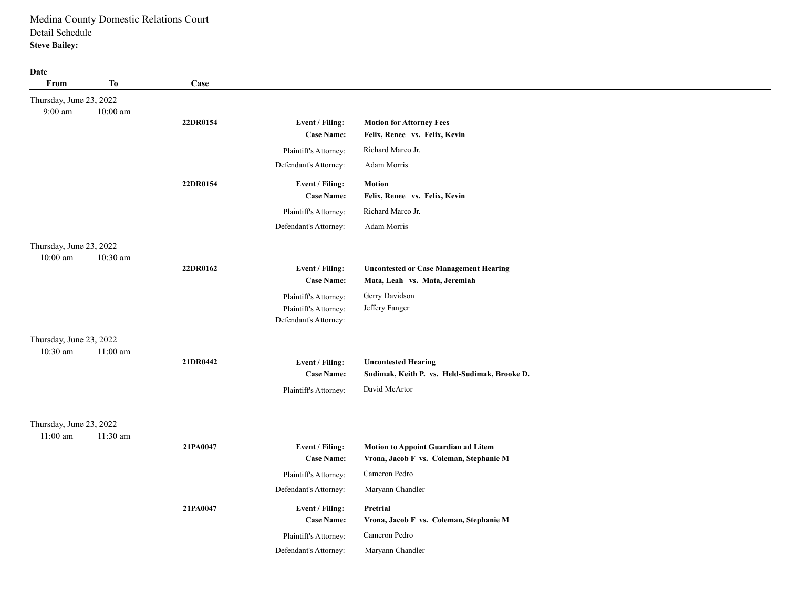#### **Date**

**From To Case** 9:00 am Thursday, June 23, 2022 10:00 am **22DR0154 Event / Filing: Motion for Attorney Fees Case Name: Felix, Renee vs. Felix, Kevin**  Plaintiff's Attorney: Richard Marco Jr. Defendant's Attorney: Adam Morris **22DR0154 Event / Filing: Motion Case Name: Felix, Renee vs. Felix, Kevin**  Plaintiff's Attorney: Richard Marco Jr. Defendant's Attorney: Adam Morris 10:00 am Thursday, June 23, 2022 10:30 am **22DR0162 Event / Filing: Uncontested or Case Management Hearing Case Name: Mata, Leah vs. Mata, Jeremiah**  Plaintiff's Attorney: Gerry Davidson Plaintiff's Attorney: Jeffery Fanger Defendant's Attorney: 10:30 am Thursday, June 23, 2022 11:00 am **21DR0442 Event / Filing: Uncontested Hearing Case Name: Sudimak, Keith P. vs. Held-Sudimak, Brooke D.** Plaintiff's Attorney: David McArtor 11:00 am Thursday, June 23, 2022 11:30 am **21PA0047 Event / Filing: Motion to Appoint Guardian ad Litem Case Name: Vrona, Jacob F vs. Coleman, Stephanie M** Plaintiff's Attorney: Cameron Pedro Defendant's Attorney: Maryann Chandler **21PA0047 Event / Filing: Pretrial Case Name: Vrona, Jacob F vs. Coleman, Stephanie M** Plaintiff's Attorney: Cameron Pedro Defendant's Attorney: Maryann Chandler